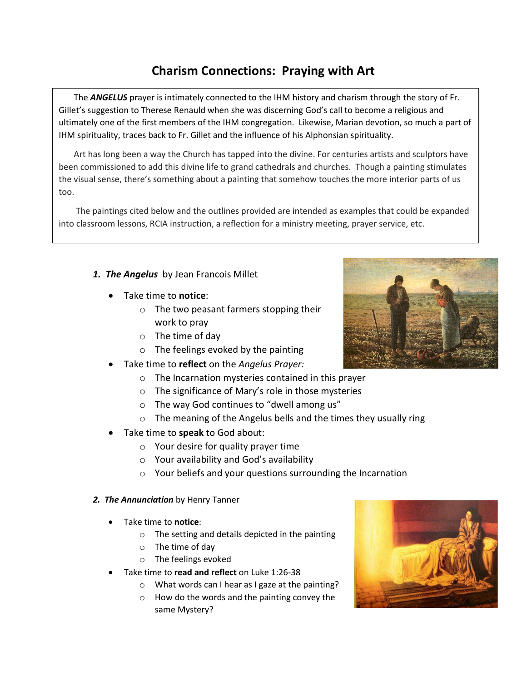## **Charism Connections: Praying with Art**

 The *ANGELUS* prayer is intimately connected to the IHM history and charism through the story of Fr. Gillet's suggestion to Therese Renauld when she was discerning God's call to become a religious and ultimately one of the first members of the IHM congregation. Likewise, Marian devotion, so much a part of IHM spirituality, traces back to Fr. Gillet and the influence of his Alphonsian spirituality.

 Art has long been a way the Church has tapped into the divine. For centuries artists and sculptors have been commissioned to add this divine life to grand cathedrals and churches. Though a painting stimulates the visual sense, there's something about a painting that somehow touches the more interior parts of us too.

 The paintings cited below and the outlines provided are intended as examples that could be expanded into classroom lessons, RCIA instruction, a reflection for a ministry meeting, prayer service, etc.

- *1. The Angelus* by Jean Francois Millet
	- Take time to **notice**:
		- o The two peasant farmers stopping their work to pray
		- o The time of day
		- $\circ$  The feelings evoked by the painting
	- Take time to **reflect** on the *Angelus Prayer:*
		- o The Incarnation mysteries contained in this prayer
		- o The significance of Mary's role in those mysteries
		- o The way God continues to "dwell among us"
		- o The meaning of the Angelus bells and the times they usually ring
	- Take time to **speak** to God about:
		- $\circ$  Your desire for quality prayer time
		- o Your availability and God's availability
		- o Your beliefs and your questions surrounding the Incarnation
- *2. The Annunciation* by Henry Tanner
	- Take time to **notice**:
		- o The setting and details depicted in the painting
		- o The time of day
		- o The feelings evoked
	- Take time to **read and reflect** on Luke 1:26-38
		- o What words can I hear as I gaze at the painting?
		- o How do the words and the painting convey the same Mystery?